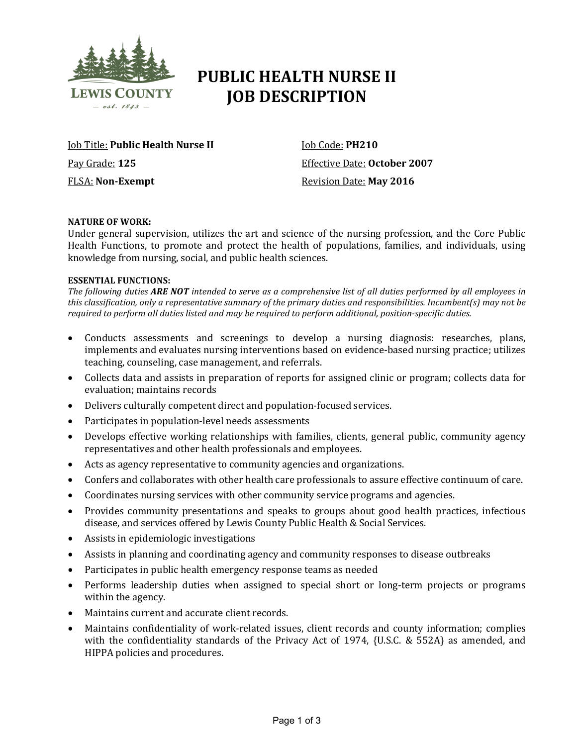

# **PUBLIC HEALTH NURSE II JOB DESCRIPTION**

Job Title: **Public Health Nurse II** Pay Grade: **125** FLSA: **Non-Exempt**

Job Code: **PH210** Effective Date: **October 2007** Revision Date: **May 2016**

## **NATURE OF WORK:**

Under general supervision, utilizes the art and science of the nursing profession, and the Core Public Health Functions, to promote and protect the health of populations, families, and individuals, using knowledge from nursing, social, and public health sciences.

# **ESSENTIAL FUNCTIONS:**

*The following duties ARE NOT intended to serve as a comprehensive list of all duties performed by all employees in this classification, only a representative summary of the primary duties and responsibilities. Incumbent(s) may not be required to perform all duties listed and may be required to perform additional, position-specific duties.*

- Conducts assessments and screenings to develop a nursing diagnosis: researches, plans, implements and evaluates nursing interventions based on evidence-based nursing practice; utilizes teaching, counseling, case management, and referrals.
- Collects data and assists in preparation of reports for assigned clinic or program; collects data for evaluation; maintains records
- Delivers culturally competent direct and population-focused services.
- Participates in population-level needs assessments
- Develops effective working relationships with families, clients, general public, community agency representatives and other health professionals and employees.
- Acts as agency representative to community agencies and organizations.
- Confers and collaborates with other health care professionals to assure effective continuum of care.
- Coordinates nursing services with other community service programs and agencies.
- Provides community presentations and speaks to groups about good health practices, infectious disease, and services offered by Lewis County Public Health & Social Services.
- Assists in epidemiologic investigations
- Assists in planning and coordinating agency and community responses to disease outbreaks
- Participates in public health emergency response teams as needed
- Performs leadership duties when assigned to special short or long-term projects or programs within the agency.
- Maintains current and accurate client records.
- Maintains confidentiality of work-related issues, client records and county information; complies with the confidentiality standards of the Privacy Act of 1974, {U.S.C. & 552A} as amended, and HIPPA policies and procedures.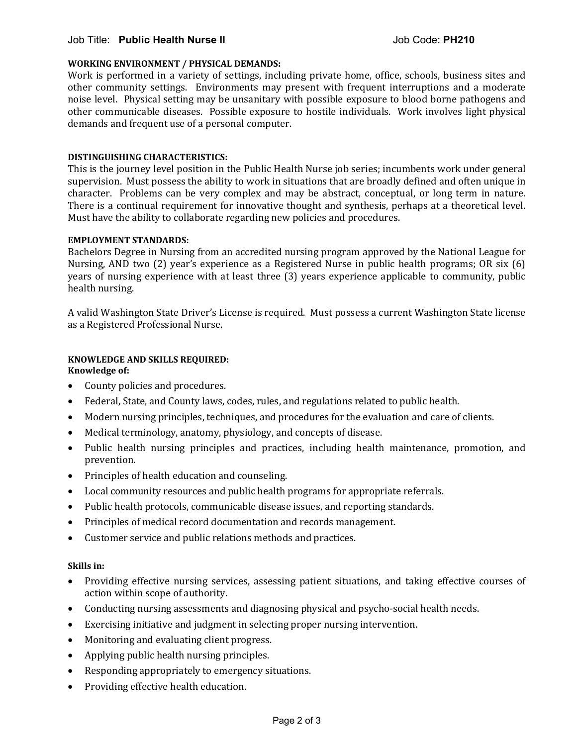# Job Title: **Public Health Nurse II** Job Code: **PH210**

#### **WORKING ENVIRONMENT / PHYSICAL DEMANDS:**

Work is performed in a variety of settings, including private home, office, schools, business sites and other community settings. Environments may present with frequent interruptions and a moderate noise level. Physical setting may be unsanitary with possible exposure to blood borne pathogens and other communicable diseases. Possible exposure to hostile individuals. Work involves light physical demands and frequent use of a personal computer.

#### **DISTINGUISHING CHARACTERISTICS:**

This is the journey level position in the Public Health Nurse job series; incumbents work under general supervision. Must possess the ability to work in situations that are broadly defined and often unique in character. Problems can be very complex and may be abstract, conceptual, or long term in nature. There is a continual requirement for innovative thought and synthesis, perhaps at a theoretical level. Must have the ability to collaborate regarding new policies and procedures.

#### **EMPLOYMENT STANDARDS:**

Bachelors Degree in Nursing from an accredited nursing program approved by the National League for Nursing, AND two (2) year's experience as a Registered Nurse in public health programs; OR six (6) years of nursing experience with at least three (3) years experience applicable to community, public health nursing.

A valid Washington State Driver's License is required. Must possess a current Washington State license as a Registered Professional Nurse.

# **KNOWLEDGE AND SKILLS REQUIRED:**

# **Knowledge of:**

- County policies and procedures.
- Federal, State, and County laws, codes, rules, and regulations related to public health.
- Modern nursing principles, techniques, and procedures for the evaluation and care of clients.
- Medical terminology, anatomy, physiology, and concepts of disease.
- Public health nursing principles and practices, including health maintenance, promotion, and prevention.
- Principles of health education and counseling.
- Local community resources and public health programs for appropriate referrals.
- Public health protocols, communicable disease issues, and reporting standards.
- Principles of medical record documentation and records management.
- Customer service and public relations methods and practices.

#### **Skills in:**

- Providing effective nursing services, assessing patient situations, and taking effective courses of action within scope of authority.
- Conducting nursing assessments and diagnosing physical and psycho-social health needs.
- Exercising initiative and judgment in selecting proper nursing intervention.
- Monitoring and evaluating client progress.
- Applying public health nursing principles.
- Responding appropriately to emergency situations.
- Providing effective health education.